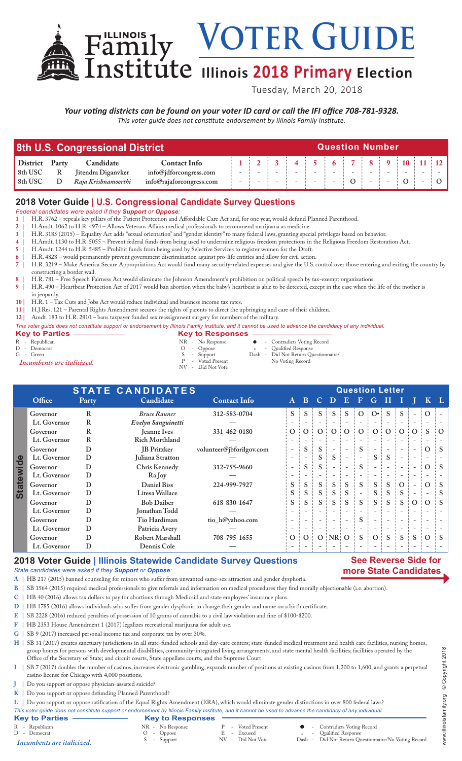VOTER GUIDE

# $Institute$  Illinois 2018 Primary Election

Tuesday, March 20, 2018

*Your voting districts can be found on your voter ID card or call the IFI office 708-781-9328. This voter guide does not constitute endorsement by Illinois Family Institute.*

| 8th U.S. Congressional District |       |                     |                          |  | <b>Question Number</b> |  |  |  |  |                                                              |  |  |  |  |  |  |
|---------------------------------|-------|---------------------|--------------------------|--|------------------------|--|--|--|--|--------------------------------------------------------------|--|--|--|--|--|--|
| <b>District</b>                 | Party | Candidate           | <b>Contact Info</b>      |  |                        |  |  |  |  | $6 \times 7 \times 8 \times 9 \times 10 \times 11 \times 12$ |  |  |  |  |  |  |
| 8th USC                         | R     | Jitendra Diganvker  | info@jdforcongress.com   |  |                        |  |  |  |  |                                                              |  |  |  |  |  |  |
| 8th USC                         |       | Raja Krishnamoorthi | info@rajaforcongress.com |  |                        |  |  |  |  |                                                              |  |  |  |  |  |  |

## **2018 Voter Guide | U.S. Congressional Candidate Survey Questions**

*Federal candidates were asked if they Support or Oppose:*

- **1 |** H.R. 3762 repeals key pillars of the Patient Protection and Affordable Care Act and, for one year, would defund Planned Parenthood.
- **2 |** H.Amdt. 1062 to H.R. 4974 Allows Veterans Affairs medical professionals to recommend marijuana as medicine.
- **3 |** H.R. 3185 (2015) Equality Act adds "sexual orientation" and "gender identity" to many federal laws, granting special privileges based on behavior.
- **4 |** H.Amdt. 1130 to H.R. 5055 Prevent federal funds from being used to undermine religious freedom protections in the Religious Freedom Restoration Act.
- **5 |** H.Amdt. 1244 to H.R. 5485 Prohibit funds from being used by Selective Services to register women for the Draft.
- **6 |** H.R. 4828 would permanently prevent government discrimination against pro-life entities and allow for civil action. **7 |** H.R. 3219 – Make America Secure Appropriations Act would fund many security-related expenses and give the U.S. control over those entering and exiting the country by constructing a border wall.
- **8 |** H.R. 781 Free Speech Fairness Act would eliminate the Johnson Amendment's prohibition on political speech by tax-exempt organizations.
- **9 |** H.R. 490 Heartbeat Protection Act of 2017 would ban abortion when the baby's heartbeat is able to be detected, except in the case when the life of the mother is in jeopardy.
- **10 |** H.R. 1 Tax Cuts and Jobs Act would reduce individual and business income tax rates.

Family

- **11 |** H.J.Res. 121 Parental Rights Amendment secures the rights of parents to direct the upbringing and care of their children.
- **12 |** Amdt. 183 to H.R. 2810 bans taxpayer funded sex reassignment surgery for members of the military.

#### *This voter guide does not constitute support or endorsement by Illinois Family Institute, and it cannot be used to advance the candidacy of any individual.*

- **Key to Parties Same Responses**<br>
R Republican<br>
R No Response R - Republican MR - No Response Contradicts Voting Record C - Contradicts Voting Record C - Contradicts Voting Record C - Contradicts Voting Record C - Contradicts Voting Record C - Contradicts Voting Record C - Contradict <sup>D</sup> - Democrat O - Oppose \* - Qualified Response Green S - Support Dash - Did Not Return Questionnaire<br>
Green S - Support Dash - Did Not Return Questionnaire<br>
P - Voted Present No Voting Record P - Voted Present No Voting Record *Incumbents are italicized.* NV - Did Not Vote
- **STATE CANDIDATES**<br> **Party** Candidate **Contact Info** A B C D E F G H I **Office Party Candidate Contact Info A B C D E F G H I J K L Governor R** *Bruce Rauner* **312-583-0704 S S S S S O O• S S - O - Lt. Governor R** *Evelyn Sanguinetti* **— - - - - - - - - - - - - Governor R Jeanne Ives 331-462-0180 O O O O O O O O O O S O Lt. Governor R Rich Morthland — - - - - - - - - - - - - Governor D JB Pritzker volunteer@jbforilgov.com - S S - - S - - - - O S Statewide Statewide Lt. Governor D Juliana Stratton — - - S S - - S S - - - - Governor D Chris Kennedy 312-755-9660 - S S - - S - - - - O S Lt. Governor D Ra Joy — - - - - - - - - - - - - Governor D Daniel Biss 224-999-7927 S S S S S S S S O - O S Lt. Governor D Litesa Wallace S S S S S - S S S - - S Governor D Bob Daiber 618-830-1647 S S S S S S S S S O O S Lt. Governor D Jonathan Todd — - - - - - - - - - - - - Governor D Tio Hardiman tio\_h@yahoo.com - - - - - S - - - - - - Lt. Governor D Patricia Avery — - - - - - - - - - - - - Governor D Robert Marshall 708-795-1655 O O O NR O S O S S S O S Lt. Governor D Dennis Cole — - - - - - - - - - - - -**

## **2018 Voter Guide | Illinois Statewide Candidate Survey Questions**

### **See Reverse Side for more State Candidates**

- *State candidates were asked if they Support or Oppose:* **A |** HB 217 (2015) banned counseling for minors who suffer from unwanted same-sex attraction and gender dysphoria.
- 
- **B |** SB 1564 (2015) required medical professionals to give referrals and information on medical procedures they find morally objectionable (i.e. abortion).
- **C |** HB 40 (2016) allows tax dollars to pay for abortions through Medicaid and state employees' insurance plans.
- **D |** HB 1785 (2016) allows individuals who suffer from gender dysphoria to change their gender and name on a birth certificate.
- **E |** SB 2228 (2016) reduced penalties of possession of 10 grams of cannabis to a civil law violation and fine of \$100-\$200.
- **F |** HB 2353 House Amendment 1 (2017) legalizes recreational marijuana for adult use.
- **G |** SB 9 (2017) increased personal income tax and corporate tax by over 30%.

H | SB 31 (2017) creates sanctuary jurisdictions in all state-funded schools and day-care centers; state-funded medical treatment and health care facilities, nursing homes, group homes for persons with developmental disabilities, community-integrated living arrangements, and state mental health facilities; facilities operated by the Office of the Secretary of State; and circuit courts, State appellate courts, and the Supreme Court.

- **I |** SB 7 (2017) doubles the number of casinos, increases electronic gambling, expands number of positions at existing casinos from 1,200 to 1,600, and grants a perpetual casino license for Chicago with 4,000 positions.
- **J |** Do you support or oppose physician-assisted suicide?
- **K |** Do you support or oppose defunding Planned Parenthood?

**L |** Do you support or oppose ratification of the Equal Rights Amendment (ERA), which would eliminate gender distinctions in over 800 federal laws?

*This voter guide does not constitute support or endorsement by Illinois Family Institute, and it cannot be used to advance the candidacy of any individual.*

|                                |                                                 |                                                     | This voter quide does not constitute support or endorsement by Illinois Family Institute, and it cannot be used to advance the candidacy of any individual. |
|--------------------------------|-------------------------------------------------|-----------------------------------------------------|-------------------------------------------------------------------------------------------------------------------------------------------------------------|
| <b>Key to Parties</b>          | <b>Key to Responses</b>                         |                                                     |                                                                                                                                                             |
| R - Republican<br>D - Democrat | NR - No Response<br>$O$ - Oppose<br>S - Support | - Voted Present<br>E - Excused<br>NV - Did Not Vote | • Contradicts Voting Record<br>- Qualified Response<br>Dash - Did Not Return Questionnaire/No Voting Record                                                 |
| Incumbents are italicized.     |                                                 |                                                     |                                                                                                                                                             |

www.illinoisfamily.org © Copyright 2018 www.illinoisfamily.org © Copyright 2018